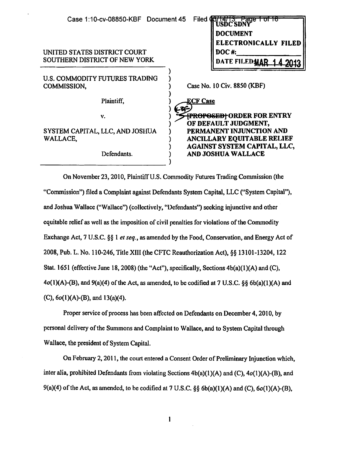| Case 1:10-cv-08850-KBF Document 45                            | Filed <b>43</b><br>VIANTS Page<br>USDC SDNY<br><b>DOCUMENT</b><br>ELECTRONICALLY FILED |
|---------------------------------------------------------------|----------------------------------------------------------------------------------------|
| UNITED STATES DISTRICT COURT<br>SOUTHERN DISTRICT OF NEW YORK | <b>DOC#:</b><br>DATE FILEDMAR                                                          |
| U.S. COMMODITY FUTURES TRADING<br>COMMISSION,                 | Case No. 10 Civ. 8850 (KBF)                                                            |
| Plaintiff,                                                    | <b>ECF Case</b>                                                                        |
| v.                                                            | <del> PROPOSED </del> ORDER FOR ENTRY<br>OF DEFAULT JUDGMENT,                          |
| SYSTEM CAPITAL, LLC, AND JOSHUA<br>WALLACE,                   | PERMANENT INJUNCTION AND<br>ANCILLARY EQUITABLE RELIEF                                 |
| Defendants.                                                   | AGAINST SYSTEM CAPITAL, LLC,<br><b>AND JOSHUA WALLACE</b>                              |

On November 23,2010, Plaintiff U.S. Commodity Futures Trading Commission (the "Commission") filed a Complaint against Defendants System Capital, LLC ("System Capital''), and Joshua Wallace ("Wallace'') (collectively, "Defendants") seeking injunctive and other equitable relief as well as the imposition of civil penalties for violations of the Commodity Exchange Act, 7 U.S.C. §§ 1 *et seq.,* as amended by the Food, Conservation, and Energy Act of 2008, Pub. L. No. 110-246, Title XIII (the CFTC Reauthorization Act),§§ 13101-13204, 122 Stat. 1651 (effective June 18, 2008) (the "Act"), specifically, Sections 4b(a)(l)(A) and (C),  $4o(1)(A)-(B)$ , and  $9(a)(4)$  of the Act, as amended, to be codified at 7 U.S.C. §§ 6b(a)(1)(A) and (C), 6o(l)(A)-(B}, and 13(a)(4).

Proper service of process has been affected on Defendants on December 4, 2010, by personal delivery of the Summons and Complaint to Wallace, and to System Capital through Wallace, the president of System Capital.

On February 2, 2011, the court entered a Consent Order of Preliminary Injunction which, inter alia, prohibited Defendants from violating Sections  $4b(a)(1)(A)$  and  $(C)$ ,  $4o(1)(A)$ -(B), and 9(a)(4) of the Act, as amended, to be codified at 7 U.S.C.  $\S\S$  6b(a)(1)(A) and (C), 6o(1)(A)-(B),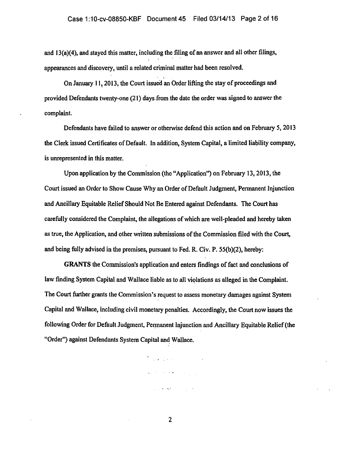#### Case 1:10-cv-08850-KBF Document 45 Filed 03/14/13 Page 2 of 16

and  $13(a)(4)$ , and stayed this matter, including the filing of an answer and all other filings, appearances and discovery, until a related criminal matter had been resolved.

On January 11, 2013, the Court issued an Order lifting the stay of proceedings and provided Defendants twenty-one  $(21)$  days from the date the order was signed to answer the complaint.

Defendants have failed to answer or otherwise defend this action and on February 5, 2013 the Clerk issued Certificates of Default. In addition, System Capital, a limited liability company, is unrepresented in this matter.

Upon application by the Commission (the "Application") on February 13, 2013, the Court issued an Order to Show Cause Why an Order of Default Judgment, Pennanent Injunction and Ancillary Equitable Relief Should Not Be Entered against Defendants. The Court has carefully considered the Complaint, the allegations of which are well-pleaded and hereby taken as true, the Application, and other written submissions of the Commission filed with the Court, and being fully advised in the premises, pursuant to Fed. R. Civ. P. 55{b}(2), hereby:

GRANTS the Commission's application and enters findings of fact and conclusions of law finding System Capital and Wallace liable as to all violations as alleged in the Complaint. The Court further grants the Commission's request to assess monetary damages against System Capital and Wallace, including civil monetary penalties. Accordingly, the Court now issues the following Order for Default Judgment, Permanent Injunction and Ancillary Equitable Relief (the "Order") against Defendants System Capital and Wallace.

 $\label{eq:2.1} \frac{1}{2} \int_{\mathbb{R}^3} \frac{1}{\sqrt{2}} \int_{\mathbb{R}^3} \frac{1}{\sqrt{2}} \int_{\mathbb{R}^3} \frac{1}{\sqrt{2}} \int_{\mathbb{R}^3} \frac{1}{\sqrt{2}} \int_{\mathbb{R}^3} \frac{1}{\sqrt{2}} \int_{\mathbb{R}^3} \frac{1}{\sqrt{2}} \int_{\mathbb{R}^3} \frac{1}{\sqrt{2}} \int_{\mathbb{R}^3} \frac{1}{\sqrt{2}} \int_{\mathbb{R}^3} \frac{1}{\sqrt{2}} \int_{\mathbb$ 

 $\label{eq:2} \mathcal{L}_{\mathcal{A}}(\mathcal{A}) = \mathcal{L}_{\mathcal{A}}(\mathcal{A}) + \mathcal{L}_{\mathcal{A}}(\mathcal{A}) = \mathcal{L}_{\mathcal{A}}(\mathcal{A})$ 

 $\mathcal{L}_{\mathcal{A}}$  and  $\mathcal{L}_{\mathcal{A}}$  and  $\mathcal{L}_{\mathcal{A}}$  and  $\mathcal{L}_{\mathcal{A}}$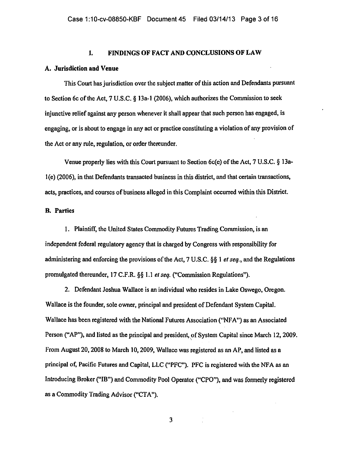### I. FINDINGS OF FACT AND CONCLUSIONS OF LAW

#### A. Jurisdiction and Venue

This Court has jurisdiction over the subject matter of this action and Defendants pursuant to Section 6c of the Act, 7 U.S.C. § 13a-1 (2006), which authorizes the Commission to seek injunctive relief against any person whenever it shall appear that such person has engaged, is engaging, or is about to engage in any act or pmctice constituting a violation of any provision of the Act or any rule, regulation, or order thereunder.

Venue properly lies with this Court pursuant to Section 6c(e) of the Act, 7 U.S.C. § 13al(e) (2006), in that Defendants transacted business in this district, and that certain transactions, acts, pmctices, and courses of business alleged in this Complaint occurred within this District.

### B. Parties

I. Plaintiff, the United States Commodity Futures Trading Commission, is an independent federal regulatory agency that is charged by Congress with responsibility for administering and enforcing the provisions of the Act, 7 U.S.C. §§ 1 *et seq.,* and the Regulations promulgated thereunder, 17 C.F.R. §§ 1.1 *el seq.* ("Commission Regulations").

2. Defendant Joshua Wallace is an individual who resides in Lake Oswego, Oregon. Wallace is the founder, sole owner, principal and president of Defendant System Capital. Wallace has been registered with the National Futures Association ("NFA") as an Associated Person ("AP"), and listed as the principal and president, of System Capital since March 12, 2009. from August 20,2008 to March 10,2009, Wallace was registered as an AP, and listed as a principal of, Pacific Futures and Capital, LLC ("PFC"). PFC is registered with the NFA as an Introducing Broker ("IB") and Commodity Pool Operator ("CPO"), and was fonnerly registered as a Commodity Trading Advisor ("CTA").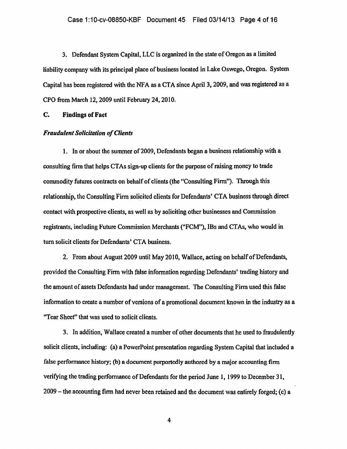3. Defendant System Capital, LLC is organized in the state of Oregon as a limited liability company with its principal place of business located in Lake Oswego, Oregon. System Capital has been registered with the NFA as a CTA since April 3, 2009, and was registered as a CPO from March 12,2009 until February 24,2010.

C. Findings of Fact

#### *Fraudulent Solicitation of Clients*

1. In or about the summer of 2009, Defendants began a business relationship with a consulting firm that helps CTAs sign-up clients for the purpose of raising money to trade commodity futures contracts on behalf of clients (the "Consulting Firm"). Through this relationship, the Consulting Firm solicited clients for Defendants' CTA business through direct contact with prospective clients, as well as by soliciting other businesses and Commission registrants, including Future Commission Merchants ("FCM"), IBs and CTAs, who would in turn solicit clients for Defendants' CTA business.

2. From about August 2009 until May 2010, Wallace, acting on behalf of Defendants, provided the Consulting Firm with false information regarding Defendants' trading history and the amount of assets Defendants had under management. The Consulting Firm used this false information to create a number of versions of a promotional document known in the industry as a "Tear Sheet'' that was used to solicit clients.

3. In addition, Wallace created a number of other documents that he used to fraudulently solicit clients, including: (a) a PowerPoint presentation regarding System Capital that included a false performance history; {b) a document purportedly authored by a major accounting firm verifying the trading performance of Defendants for the period June 1, 1999 to December 31, 2009-the accounting firm had never been retained and the document was entirely forged; (c) a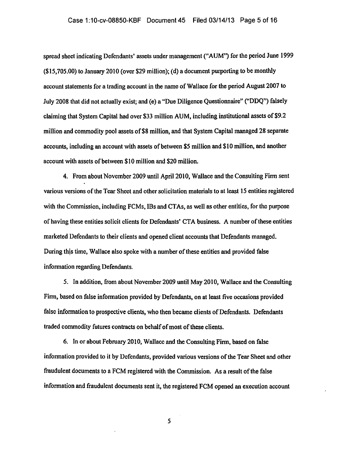## Case 1:10-cv-08850-KBF Document 45 Filed 03/14/13 Page 5 of 16

spread sheet indicating Defendants' assets under management ("AUM") for the period June 1999 (\$15,705.00) to January 2010 (over \$29 million); (d) a document purporting to be monthly account statements for a trading account in the name of Wallace for the period August 2007 to July 2008 that did not actually exist; and (e) a "Due Diligence Questionnaire" ("DDQ") falsely claiming that System Capital had over \$33 million AUM, including institutional assets of\$9.2 million and commodity pool assets of\$8 million, and that System Capital managed 28 separate accounts, including an account with assets of between *\$5* million and \$10 million, and another account with assets of between \$10 million and \$20 million.

4. From about November 2009 until April 2010, Wallace and the Consulting Firm sent various versions of the Tear Sheet and other solicitation materials to at least 15 entities registered with the Commission, including FCMs, IBs and CTAs, as well as other entities, for the purpose of having these entities solicit clients for Defendants' CTA business. A number of these entities marketed Defendants to their clients and opened client accounts that Defendants managed. During this time, Wallace also spoke with a number of these entities and provided false information regarding Defendants.

5. In addition, from about November 2009 until May 2010, Wallace and the Consulting Finn, based on false information provided by Defendants, on at least five occasions provided false information to prospective clients, who then became clients of Defendants. Defendants traded commodity futures contracts on behalf of most of these clients.

6. In or about February 2010, Wallace and the Consulting Firm, based on false information provided to it by Defendants, provided various versions of the Tear Sheet and other fraudulent documents to a FCM registered with the Commission. As a result of the false information and fraudulent documents sent it, the registered FCM opened an execution account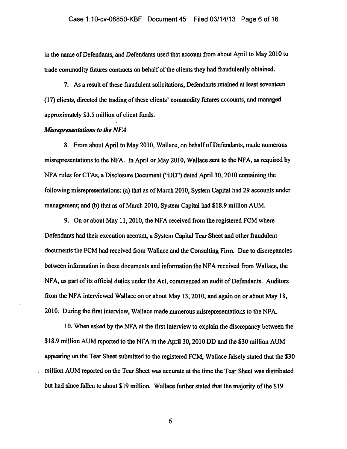### Case 1:10-cv-08850-KBF Document 45 Filed 03/14/13 Page 6 of 16

in the name of Defendants, and Defendants used that account from about April to May 2010 to trade commodity futures contracts on behalf of the clients they had fraudulently obtained.

7. As a result of these fraudulent solicitations, Defendants retained at least seventeen ( 17) clients, directed the trading of these clients' commodity futures accounts, and managed approximately \$3.5 million of client funds.

### *Misrepresentations to the NFA*

8. From about April to May 2010, Wallace, on behalf of Defendants, made numerous misrepresentations to the NFA. In April or May 2010, Wallace sent to the NFA, as required by NFA rules for CTAs, a Disclosure Document ("DD") dated April30, 2010 containing the following misrepresentations: (a) that as of March 2010, System Capital had 29 accounts under management; and (b) that as of March 2010, System Capital had \$18.9 million AUM.

9. On or about May 11,2010, the NFA received from the registered FCM where Defendants had their execution account, a System Capital Tear Sheet and other fraudulent documents the FCM had received from Wallace and the Consulting Finn. Due to discrepancies between information in these documents and information the NFA received from Wallace, the NFA, as part of its official duties under the Act, commenced an audit of Defendants. Auditors from the NFA interviewed Wallace on or about May 13,2010, and again on or about May 18, 2010. During the first interview, Wallace made numerous misrepresentations to the NFA.

10. When asked by the NFA at the first interview to explain the discrepancy between the \$18.9 million AUM reported to the NFA in the April 30, 2010 DD and the \$30 million AUM appearing on the Tear Sheet submitted to the registered FCM, Wallace falsely stated that the \$30 million AUM reported on the Tear Sheet was accumte at the time the Tear Sheet was distributed but had since fallen to about \$19 million. Wallace further stated that the majority ofthe \$19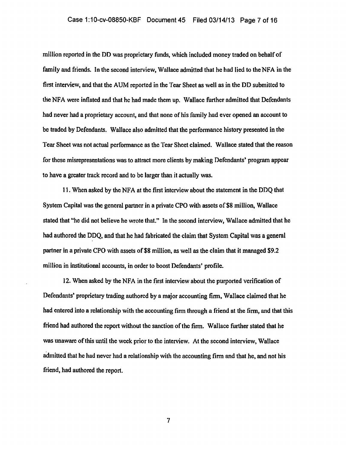### Case 1:10-cv-08850-KBF Document 45 Filed 03/14/13 Page 7 of 16

million reported in the DD was proprietary funds, which included money traded on behalf of family and friends. In the second interview, Wallace admitted that he had lied to the NFA in the first interview, and that the AUM reported in the Tear Sheet as well as in the DD submitted to the NFA were inflated and that he had made them up. Wallace further admitted that Defendants had never had a proprietary account, and that none of his family had ever opened an account to be traded by Defendants. Wallace also admitted that the performance history presented in the Tear Sheet was not actual performance as the Tear Sheet claimed. Wallace stated that the reason for these misrepresentations was to attract more clients by making Defendants' program appear to have a greater track record and to be larger than it actually was.

11. When asked by the NFA at the first interview about the statement in the DDQ that System Capital was the general partner in a private CPO with assets of \$8 million, Wallace stated that "he did not believe he wrote that." In the second interview, Wallace admitted that he had authored the DDQ, and that he had fabricated the claim that System Capital was a general partner in a private CPO with assets of \$8 million, as well as the claim that it managed \$9.2 million in institutional accounts, in order to boost Defendants' profile.

12. When asked by the NFA in the first interview about the purported verification of Defendants' proprietary trading authored by a major accounting firm, Wallace claimed that he had entered into a relationship with the accounting firm through a friend at the firm, and that this friend had authored the report without the sanction of the firm. Wallace further stated that he was unaware of this until the week prior to the interview. At the second interview, Wallace admitted that he had never had a relationship with the accounting finn and that he, and not his friend, had authored the report.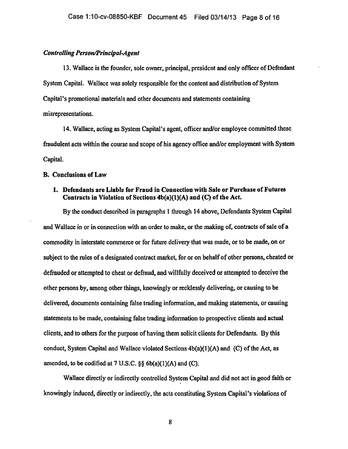### *Controlling Person/Principal-Agent*

13. Wallace is the founder, sole owner, principal, president and only officer of Defendant System Capital. Wallace was solely responsible for the content and distribution of System Capital's promotional materials and other documents and statements containing misrepresentations.

14. Wallace, acting as System Capital's agent, officer and/or employee committed these fraudulent acts within the course and scope of his agency office and/or employment with System Capital.

### B. Conclusions of Law

## 1. Defendants are Liable for Fraud in Connection with Sale or Purchase of Futures Contracts in Violation of Sections 4b(a)(l)(A) and (C) of the Act.

By the conduct described in paragraphs 1 through 14 above, Defendants System Capital and Wallace in or in connection with an order to make, or the making of, contracts of sale of a commodity in interstate commerce or for future delivery that was made, or to be made, on or subject to the rules of a designated contract market, for or on behalf of other persons, cheated or defrauded or attempted to cheat or defraud, and willfully deceived or attempted to deceive the other persons by, among other things, knowingly or recklessly delivering, or causing to be delivered, documents containing false trading information, and making statements, or causing statements to be made, containing false tmding infonnation to prospective clients and actual clients, and to others for the purpose of having them solicit clients for Defendants. By this conduct, System Capital and Wallace violated Sections  $4b(a)(1)(A)$  and (C) of the Act, as amended, to be codified at  $7 \text{ U.S.C. }$  §§  $6b(a)(1)(A)$  and (C).

Wallace directly or indirectly controlled System Capital and did not act in good faith or knowingly induced, directly or indirectly, the acts constituting System Capital's violations of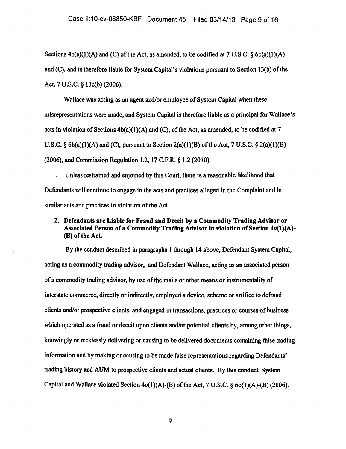Sections  $4b(a)(1)(A)$  and (C) of the Act, as amended, to be codified at 7 U.S.C. § 6b(a)(1)(A) and (C), and is therefore liable for System Capital's violations pursuant to Section 13(b) of the Act, 7 U.S.C. § 13c(b) (2006).

Wallace was acting as an agent and/or employee of System Capital when these misrepresentations were made, and System Capital is therefore liable as a principal for Wallace's acts in violation of Sections  $4b(a)(1)(A)$  and (C), of the Act, as amended, to be codified at 7 U.S.C.  $\S$  6b(a)(1)(A) and (C), pursuant to Section 2(a)(1)(B) of the Act, 7 U.S.C.  $\S$  2(a)(1)(B) (2006), and Commission Regulation 1.2, 17 C.F.R. § 1.2 (2010).

Unless restrained and enjoined by this Court, there is a reasonable likelihood that Defendants will continue to engage in the acts and practices alleged in the Complaint and in similar acts and practices in violation of the Act.

# 2. Defendants are Liable for Fraud and Deceit by a Commodity Trading Advisor or Associated Person of a Commodity Trading Advisor in violation of Section  $4o(1)(A)$ -(B) of the Act

By the conduct described in paragraphs 1 through 14 above, Defendant System Capital, acting as a commodity trading advisor, and Defendant Wallace, acting as an associated person of a commodity trading advisor, by use of the mails or other means or instrumentality of interstate commerce, directly or indirectly, employed a device, scheme or artifice to defraud clients and/or prospective clients, and engaged in transactions, practices or courses of business which operated as a fraud or deceit upon clients and/or potential clients by, among other things, knowingly or recklessly delivering or causing to be delivered documents containing false trading information and by making or causing to be made false representations regarding Defendants' trading history and AUM to prospective clients and actual clients. By this conduct, System Capital and Wallace violated Section  $4o(1)(A)$ -(B) of the Act, 7 U.S.C. § 6o(1)(A)-(B) (2006).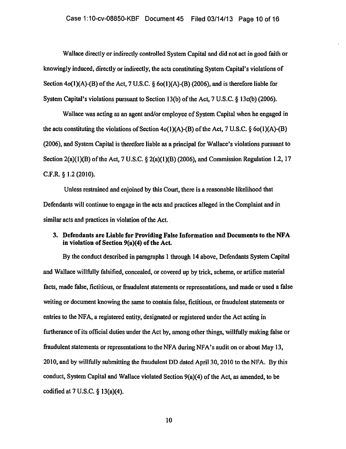Wallace directly or indirectly controlled System Capital and did not act in good faith or knowingly induced, directly or indirectly, the acts constituting System Capital's violations of Section  $4o(1)(A)$ -(B) of the Act, 7 U.S.C. § 6o(1)(A)-(B) (2006), and is therefore liable for System Capital's violations pursuant to Section 13(b) of the Act, 7 U.S.C. § 13c(b) (2006).

Wallace was acting as an agent and/or employee of System Capital when he engaged in the acts constituting the violations of Section  $4o(1)(A)$ -(B) of the Act, 7 U.S.C. § 6o(1)(A)-(B) (2006), and System Capital is therefore liable as a principal for Wallace's violations pursuant to Section  $2(a)(1)(B)$  of the Act, 7 U.S.C. §  $2(a)(1)(B)$  (2006), and Commission Regulation 1.2, 17 C.F.R. § 1.2 (2010).

Unless restrained and enjoined by this Court, there is a reasonable likelihood that Defendants will continue to engage in the acts and practices alleged in the Complaint and in similar acts and practices in violation of the Act.

## 3. Defendants are Liable for Providing False Information and Documents to the NFA in violation of Section 9(a)(4) of the Act.

By the conduct described in paragraphs 1 through 14 above, Defendants System Capital and Wallace willfully falsified, concealed, or covered up by trick, scheme, or artifice material facts, made false, fictitious, or fraudulent statements or representations, and made or used a false writing or document knowing the same to contain false, fictitious, or fraudulent statements or entries to the NFA, a registered entity, designated or registered under the Act acting in furtherance of its official duties under the Act by, among other things, willfully making false or fraudulent statements or representations to the NFA during NFA's audit on or about May 13, 2010, and by willfully submitting the fraudulent DD dated April30, 2010 to the NFA. By this conduct, System Capital and Wallace violated Section 9(a)(4) of the Act, as amended, to be codified at 7 U.S.C. § 13(a)(4).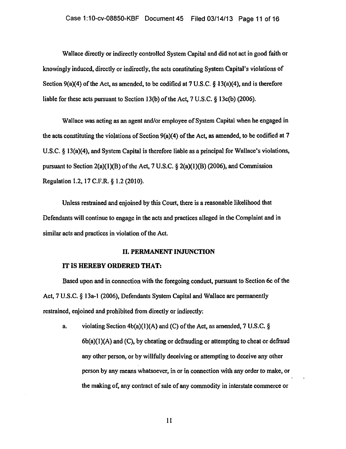Wallace directly or indirectly controlled System Capital and did not act in good faith or knowingly induced, directly or indirectly, the acts constituting System Capital's violations of Section 9(a)(4) of the Act, as amended, to be codified at  $7 \text{ U.S.C.} \$  13(a)(4), and is therefore liable for these acts pursuant to Section 13(b) of the Act, 7 U.S.C. § 13c(b) (2006).

Wallace was acting as an agent and/or employee of System Capital when he engaged in the acts constituting the violations of Section 9(a)(4) of the Act, as amended, to be codified at 7 U.S.C. § 13(a)(4), and System Capital is therefore liable as a principal for Wallace's violations, pursuant to Section  $2(a)(1)(B)$  of the Act, 7 U.S.C. §  $2(a)(1)(B)$  (2006), and Commission Regulation 1.2, 17 C.F.R. § 1.2 (2010).

Unless restrained and enjoined by this Court, there is a reasonable likelihood that Defendants will continue to engage in the acts and practices alleged in the Complaint and in similar acts and practices in violation of the Act.

### II. PERMANENT INJUNCTION

### IT IS HEREBY ORDERED THAT:

Based upon and in connection with the foregoing conduct, pursuant to Section 6c of the Act, 7 U.S.C. § 13a-t (2006), Defendants System Capital and Wallace are permanently restrained, enjoined and prohibited from directly or indirectly:

a. violating Section  $4b(a)(1)(A)$  and (C) of the Act, as amended, 7 U.S.C. §  $6b(a)(1)(A)$  and  $(C)$ , by cheating or defrauding or attempting to cheat or defraud any other person, or by willfully deceiving or attempting to deceive any other person by any means whatsoever, in or in connection with any order to make, or the making of, any contract of sale of any conunodity in interstate conunerce or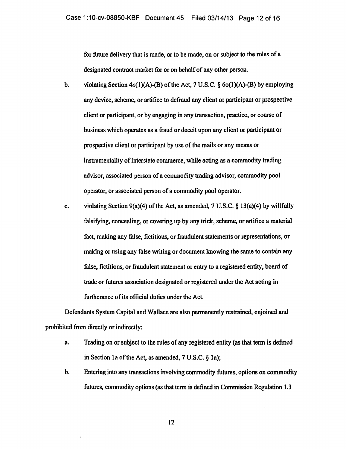for future delivery that is made, or to be made, on or subject to the rules of a designated contract market for or on behalf of any other person.

- b. violating Section  $4o(1)(A)$ -(B) of the Act, 7 U.S.C.  $\S 6o(1)(A)$ -(B) by employing any device, scheme, or artifice to defraud any client or participant or prospective client or participant, or by engaging in any transaction, pmctice, or course of business which operates as a fraud or deceit upon any client or participant or prospective client or participant by use of the mails or any means or instrumentality of interstate commerce, while acting as a commodity trading advisor, associated person of a commodity trading advisor, commodity pool opemtor, or associated person of a commodity pool operator.
- c. violating Section 9(a)(4) of the Act, as amended, 7 U.S.C. § 13(a)(4) by willfully falsifying, concealing, or covering up by any trick, scheme, or artifice a material fact, making any false, fictitious, or fraudulent statements or representations, or making or using any false writing or document knowing the same to contain any false, fictitious, or fraudulent statement or entry to a registered entity, board of trade or futures association designated or registered under the Act acting in furtherance of its official duties under the Act.

Defendants System Capital and Wallace are also permanently restrained, enjoined and prohibited from directly or indirectly:

- a. Trading on or subject to the rules of any registered entity (as that term is defined in Section 1a of the Act, as amended,  $7 U.S.C. \S 1a$ ;
- b. Entering into any transactions involving commodity futures, options on commodity futures, commodity options (as that term is defined in Commission Regulation 1.3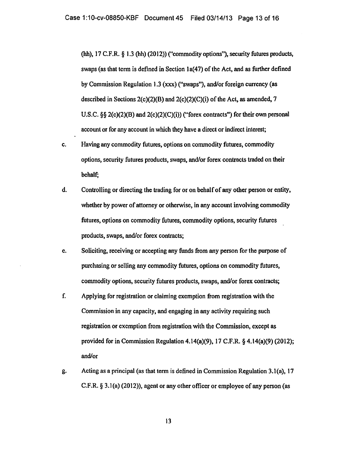(hh), 17 C.F.R. § 1.3 (hh) (2012)) ("commodity options''), security futures products, swaps (as that term is defined in Section 1a(47) of the Act, and as further defined by Commission Regulation 1.3 (xxx) ("swaps"), and/or foreign currency (as described in Sections  $2(c)(2)(B)$  and  $2(c)(2)(C)(i)$  of the Act, as amended, 7 U.S.C. §§ 2(c)(2)(B) and 2(c)(2)(C)(i)) ("forex contracts") for their own personal account or for any account in which they have a direct or indirect interest;

- c. Having any commodity futures, options on commodity futures, commodity options, security futures products, swaps, and/or forex contracts traded on their behalf;
- d. Controlling or directing the trading for or on behalf of any other person or entity, whether by power of attorney or otherwise, in any account involving commodity futures, options on commodity futures, commodity options, security futures products, swaps, and/or forex contracts;
- e. Soliciting, receiving or accepting any funds from any person for the purpose of purchasing or selling any commodity futures, options on commodity futures, commodity options, security futures products, swaps, and/or forex contracts;
- f. Applying for registration or claiming exemption from registration with the Commission in any capacity, and engaging in any activity requiring such registration or exemption from registration with the Commission, except as provided for in Commission Regulation 4.14(a)(9), 17 C.F.R. § 4.14(a)(9) (2012); and/or
- g. Acting as a principal (as that term is defined in Commission Regulation 3.l(a), 17 C.F.R. § 3.1 (a) (2012)), agent or any other officer or employee of any person (as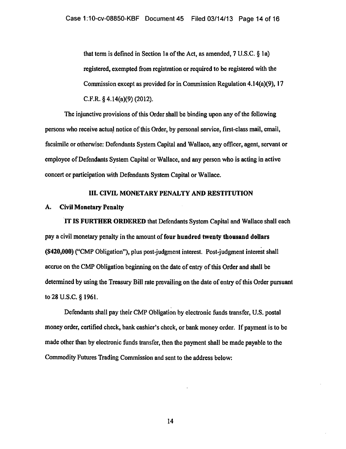that term is defined in Section la of the Act, as amended, 7 U.S.C. § Ia) registered, exempted from registration or required to be registered with the Commission except as provided for in Commission Regulation 4.14(a)(9), 17 C.P.R.§ 4.14(a)(9) (2012).

The injunctive provisions of this Order shall be binding upon any of the following persons who receive actual notice of this Order, by personal service, first-class mail, email, facsimile or otherwise: Defendants System Capital and Wallace, any officer, agent, servant or employee of Defendants System Capital or Wallace, and any person who is acting in active concert or participation with Defendants System Capital or Wallace.

#### III. CIVIL MONETARY PENALTY AND RESTITUTION

### A. Civil Monetary Penalty

.IT IS FURTHER ORDERED that Defendants System Capital and Wallace shall each pay a civil monetary penalty in the amount of four hundred twenty thousand dollars (\$420,000) ("CMP Obligation"), plus post-judgment interest. Post-judgment interest shall accrue on the CMP Obligation beginning on the date of entry of this Order and shall be determined by using the Treasury Bill rate prevailing on the date of entry of this Order pursuant to 28 U.S.C. § 1961.

Defendants shall pay their CMP Obligation by electronic funds transfer, U.S. postal money order, certified check, bank cashier's check, or bank money order. If payment is to be made other than by electronic funds transfer, then the payment shall be made payable to the Commodity Futures Trading Commission and sent to the address below: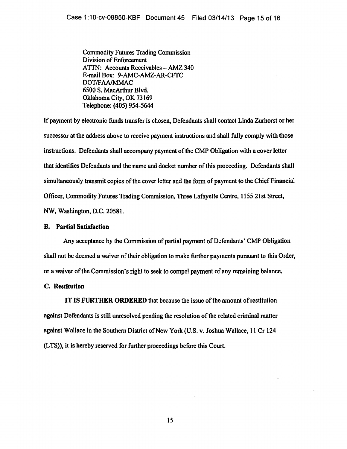Commodity Futures Trading Commission Division of Enforcement ATTN: Accounts Receivables - AMZ 340 E-mail Box: 9-AMC-AMZ-AR-CFTC DOT/FAA/MMAC 6500 S. MacArthur Blvd. Oklahoma City, OK 73169 Telephone: (405) 954-5644

If payment by electronic funds transfer is chosen, Defendants shall contact Linda Zurhorst or her successor at the address above to receive payment instructions and shall fully comply with those instructions. Defendants shall accompany payment of the CMP Obligation with a cover letter that identifies Defendants and the name and docket number of this proceeding. Defendants shall simultaneously transmit copies of the cover letter and the form of payment to the Chief Financial Officer, Commodity Futures Trading Conunission, Three Lafayette Centre, 1155 21st Street, NW, Washington, D.C. 20581.

### B. Partial Satisfaction

Any acceptance by the Commission of partial payment of Defendants' CMP Obligation shall not be deemed a waiver of their obligation to make further payments pursuant to this Order, or a waiver of the Commission's right to seek to compel payment of any remaining balance.

## C. Restitution

IT IS FURTHER ORDERED that because the issue of the amount of restitution against Defendants is still unresolved pending the resolution of the related criminal matter against Wallace in the Southern District of New York (U.S. v. Joshua Wallace, 11 Cr 124 (L TS)), it is hereby reserved for further proceedings before this Court.